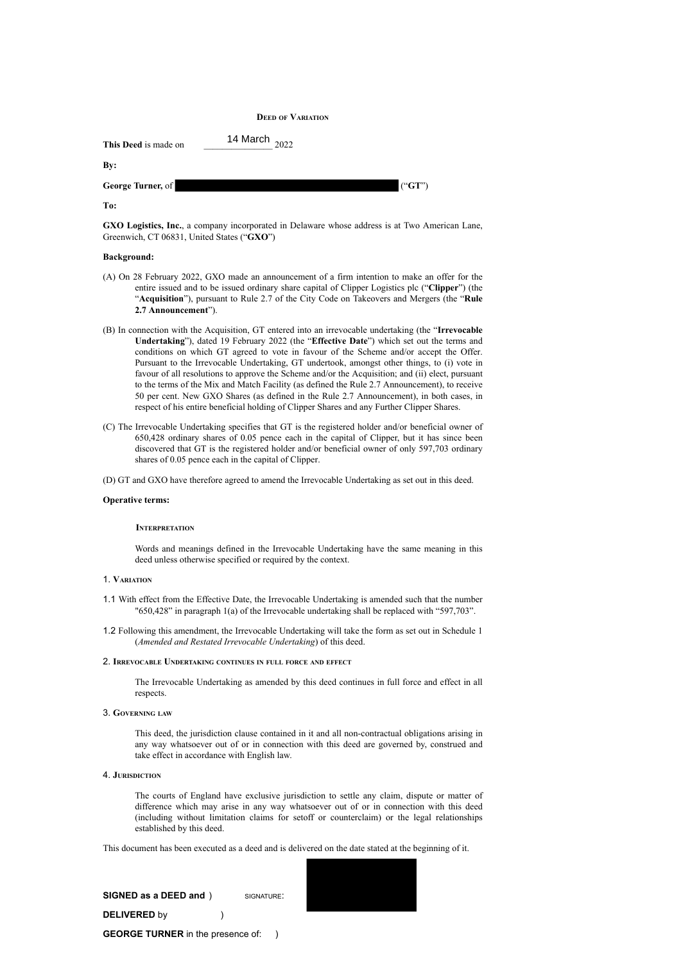## **DEED OF VARIATION**

| This Deed is made on | 14 March $_{2022}$ |                 |
|----------------------|--------------------|-----------------|
| By:                  |                    |                 |
| George Turner, of    |                    | $(^{\circ}GT")$ |
| To:                  |                    |                 |

**GXO Logistics, Inc.**, a company incorporated in Delaware whose address is at Two American Lane, Greenwich, CT 06831, United States ("**GXO**")

#### **Background:**

- (A) On 28 February 2022, GXO made an announcement of a firm intention to make an offer for the entire issued and to be issued ordinary share capital of Clipper Logistics plc ("**Clipper**") (the "**Acquisition**"), pursuant to Rule 2.7 of the City Code on Takeovers and Mergers (the "**Rule 2.7 Announcement**").
- (B) In connection with the Acquisition, GT entered into an irrevocable undertaking (the "**Irrevocable Undertaking**"), dated 19 February 2022 (the "**Effective Date**") which set out the terms and conditions on which GT agreed to vote in favour of the Scheme and/or accept the Offer. Pursuant to the Irrevocable Undertaking, GT undertook, amongst other things, to (i) vote in favour of all resolutions to approve the Scheme and/or the Acquisition; and (ii) elect, pursuant to the terms of the Mix and Match Facility (as defined the Rule 2.7 Announcement), to receive 50 per cent. New GXO Shares (as defined in the Rule 2.7 Announcement), in both cases, in respect of his entire beneficial holding of Clipper Shares and any Further Clipper Shares.
- (C) The Irrevocable Undertaking specifies that GT is the registered holder and/or beneficial owner of 650,428 ordinary shares of 0.05 pence each in the capital of Clipper, but it has since been discovered that GT is the registered holder and/or beneficial owner of only 597,703 ordinary shares of 0.05 pence each in the capital of Clipper.

(D) GT and GXO have therefore agreed to amend the Irrevocable Undertaking as set out in this deed.

## **Operative terms:**

## **INTERPRETATION**

Words and meanings defined in the Irrevocable Undertaking have the same meaning in this deed unless otherwise specified or required by the context.

#### 1. **VARIATION**

- 1.1 With effect from the Effective Date, the Irrevocable Undertaking is amended such that the number "650,428" in paragraph 1(a) of the Irrevocable undertaking shall be replaced with "597,703".
- 1.2 Following this amendment, the Irrevocable Undertaking will take the form as set out in Schedule 1 (*Amended and Restated Irrevocable Undertaking*) of this deed.

#### 2. **IRREVOCABLE UNDERTAKING CONTINUES IN FULL FORCE AND EFFECT**

The Irrevocable Undertaking as amended by this deed continues in full force and effect in all respects.

## 3. **GOVERNING LAW**

This deed, the jurisdiction clause contained in it and all non-contractual obligations arising in any way whatsoever out of or in connection with this deed are governed by, construed and take effect in accordance with English law.

## 4. **JURISDICTION**

The courts of England have exclusive jurisdiction to settle any claim, dispute or matter of difference which may arise in any way whatsoever out of or in connection with this deed (including without limitation claims for setoff or counterclaim) or the legal relationships established by this deed.

This document has been executed as a deed and is delivered on the date stated at the beginning of it.



**SIGNED as a DEED and** ) SIGNATURE: **DELIVERED** by ) **GEORGE TURNER** in the presence of: )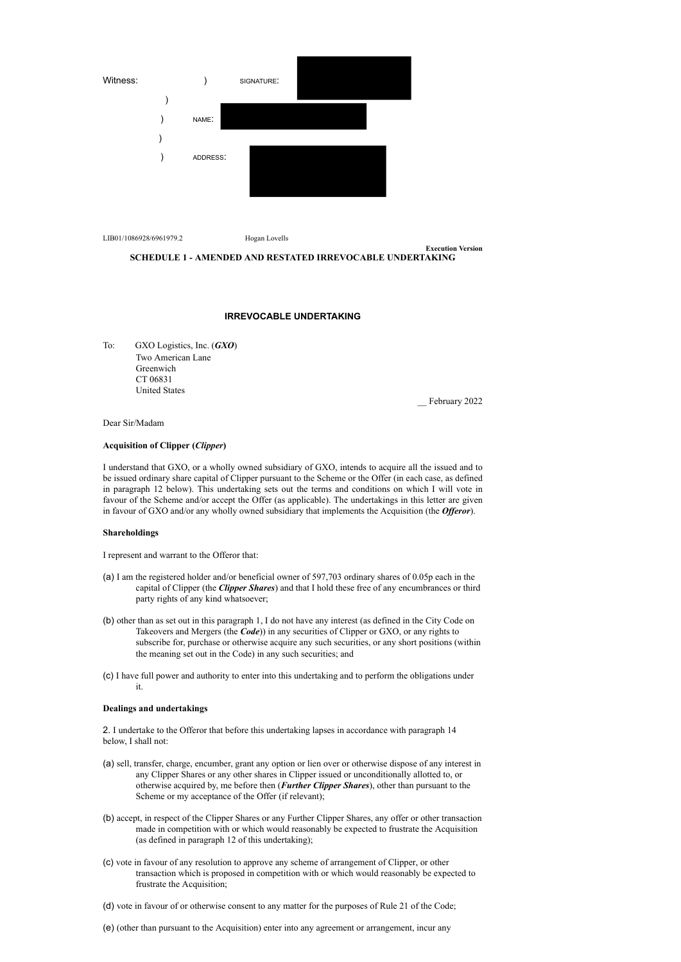

LIB01/1086928/6961979.2 Hogan Lovells



#### **IRREVOCABLE UNDERTAKING**

To: GXO Logistics, Inc. (*GXO*) Two American Lane Greenwich CT 06831 United States

\_\_ February 2022

**Execution Version**

## Dear Sir/Madam

## **Acquisition of Clipper (***Clipper***)**

I understand that GXO, or a wholly owned subsidiary of GXO, intends to acquire all the issued and to be issued ordinary share capital of Clipper pursuant to the Scheme or the Offer (in each case, as defined in paragraph 12 below). This undertaking sets out the terms and conditions on which I will vote in favour of the Scheme and/or accept the Offer (as applicable). The undertakings in this letter are given in favour of GXO and/or any wholly owned subsidiary that implements the Acquisition (the *Offeror*).

#### **Shareholdings**

I represent and warrant to the Offeror that:

- (a) I am the registered holder and/or beneficial owner of 597,703 ordinary shares of 0.05p each in the capital of Clipper (the *Clipper Shares*) and that I hold these free of any encumbrances or third party rights of any kind whatsoever;
- (b) other than as set out in this paragraph 1, I do not have any interest (as defined in the City Code on Takeovers and Mergers (the *Code*)) in any securities of Clipper or GXO, or any rights to subscribe for, purchase or otherwise acquire any such securities, or any short positions (within the meaning set out in the Code) in any such securities; and
- (c) I have full power and authority to enter into this undertaking and to perform the obligations under it.

#### **Dealings and undertakings**

2. I undertake to the Offeror that before this undertaking lapses in accordance with paragraph 14 below, I shall not:

- (a) sell, transfer, charge, encumber, grant any option or lien over or otherwise dispose of any interest in any Clipper Shares or any other shares in Clipper issued or unconditionally allotted to, or otherwise acquired by, me before then (*Further Clipper Shares*), other than pursuant to the Scheme or my acceptance of the Offer (if relevant);
- (b) accept, in respect of the Clipper Shares or any Further Clipper Shares, any offer or other transaction made in competition with or which would reasonably be expected to frustrate the Acquisition (as defined in paragraph 12 of this undertaking);
- (c) vote in favour of any resolution to approve any scheme of arrangement of Clipper, or other transaction which is proposed in competition with or which would reasonably be expected to frustrate the Acquisition;

(d) vote in favour of or otherwise consent to any matter for the purposes of Rule 21 of the Code;

(e) (other than pursuant to the Acquisition) enter into any agreement or arrangement, incur any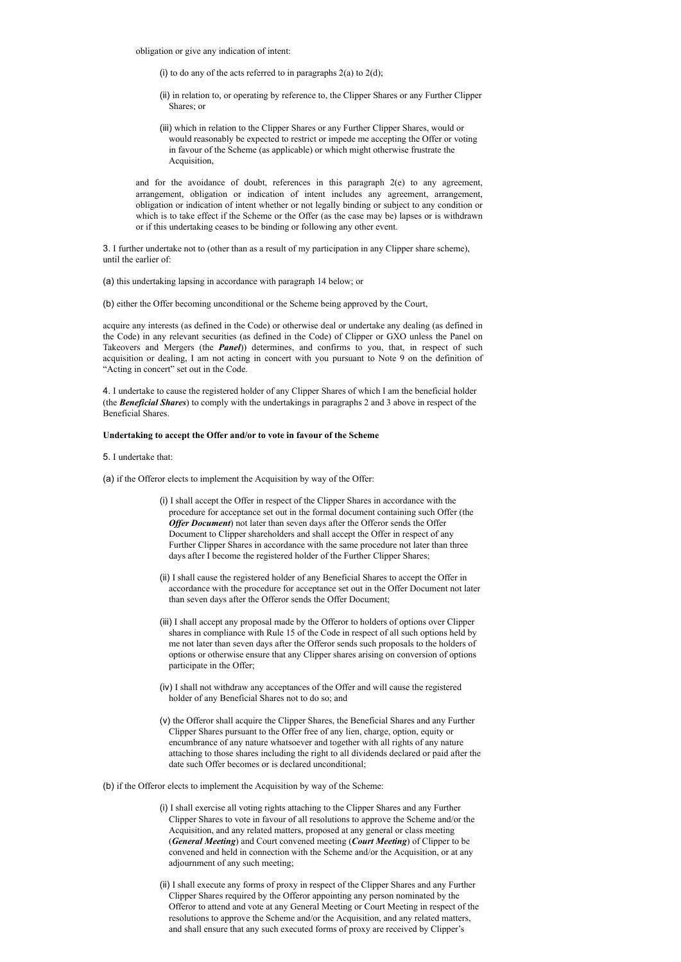obligation or give any indication of intent:

- (i) to do any of the acts referred to in paragraphs  $2(a)$  to  $2(d)$ ;
- (ii) in relation to, or operating by reference to, the Clipper Shares or any Further Clipper Shares; or
- (iii) which in relation to the Clipper Shares or any Further Clipper Shares, would or would reasonably be expected to restrict or impede me accepting the Offer or voting in favour of the Scheme (as applicable) or which might otherwise frustrate the Acquisition,

and for the avoidance of doubt, references in this paragraph  $2(e)$  to any agreement, arrangement, obligation or indication of intent includes any agreement, arrangement, obligation or indication of intent whether or not legally binding or subject to any condition or which is to take effect if the Scheme or the Offer (as the case may be) lapses or is withdrawn or if this undertaking ceases to be binding or following any other event.

3. I further undertake not to (other than as a result of my participation in any Clipper share scheme), until the earlier of:

(a) this undertaking lapsing in accordance with paragraph 14 below; or

(b) either the Offer becoming unconditional or the Scheme being approved by the Court,

acquire any interests (as defined in the Code) or otherwise deal or undertake any dealing (as defined in the Code) in any relevant securities (as defined in the Code) of Clipper or GXO unless the Panel on Takeovers and Mergers (the *Panel*)) determines, and confirms to you, that, in respect of such acquisition or dealing, I am not acting in concert with you pursuant to Note 9 on the definition of "Acting in concert" set out in the Code.

4. I undertake to cause the registered holder of any Clipper Shares of which I am the beneficial holder (the *Beneficial Shares*) to comply with the undertakings in paragraphs 2 and 3 above in respect of the Beneficial Shares.

#### **Undertaking to accept the Offer and/or to vote in favour of the Scheme**

- 5. I undertake that:
- (a) if the Offeror elects to implement the Acquisition by way of the Offer:
	- (i) I shall accept the Offer in respect of the Clipper Shares in accordance with the procedure for acceptance set out in the formal document containing such Offer (the *Offer Document*) not later than seven days after the Offeror sends the Offer Document to Clipper shareholders and shall accept the Offer in respect of any Further Clipper Shares in accordance with the same procedure not later than three days after I become the registered holder of the Further Clipper Shares;
	- (ii) I shall cause the registered holder of any Beneficial Shares to accept the Offer in accordance with the procedure for acceptance set out in the Offer Document not later than seven days after the Offeror sends the Offer Document;
	- (iii) I shall accept any proposal made by the Offeror to holders of options over Clipper shares in compliance with Rule 15 of the Code in respect of all such options held by me not later than seven days after the Offeror sends such proposals to the holders of options or otherwise ensure that any Clipper shares arising on conversion of options participate in the Offer;
	- (iv) I shall not withdraw any acceptances of the Offer and will cause the registered holder of any Beneficial Shares not to do so; and
	- (v) the Offeror shall acquire the Clipper Shares, the Beneficial Shares and any Further Clipper Shares pursuant to the Offer free of any lien, charge, option, equity or encumbrance of any nature whatsoever and together with all rights of any nature attaching to those shares including the right to all dividends declared or paid after the date such Offer becomes or is declared unconditional;
- (b) if the Offeror elects to implement the Acquisition by way of the Scheme:
	- (i) I shall exercise all voting rights attaching to the Clipper Shares and any Further Clipper Shares to vote in favour of all resolutions to approve the Scheme and/or the Acquisition, and any related matters, proposed at any general or class meeting (*General Meeting*) and Court convened meeting (*Court Meeting*) of Clipper to be convened and held in connection with the Scheme and/or the Acquisition, or at any adjournment of any such meeting;
	- (ii) I shall execute any forms of proxy in respect of the Clipper Shares and any Further Clipper Shares required by the Offeror appointing any person nominated by the Offeror to attend and vote at any General Meeting or Court Meeting in respect of the resolutions to approve the Scheme and/or the Acquisition, and any related matters, and shall ensure that any such executed forms of proxy are received by Clipper's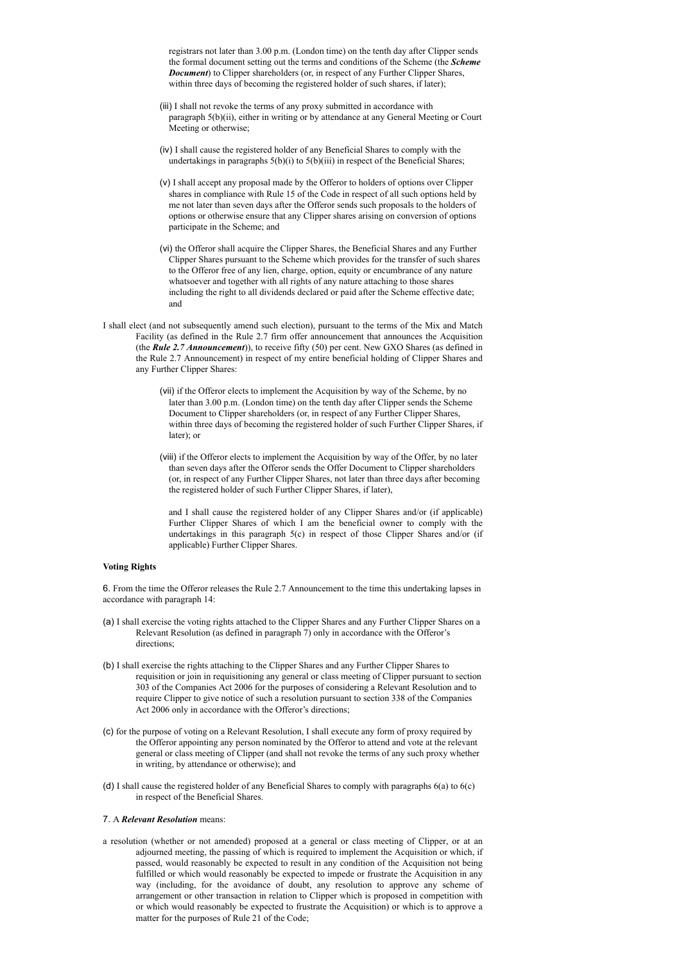registrars not later than 3.00 p.m. (London time) on the tenth day after Clipper sends the formal document setting out the terms and conditions of the Scheme (the *Scheme Document*) to Clipper shareholders (or, in respect of any Further Clipper Shares, within three days of becoming the registered holder of such shares, if later);

- (iii) I shall not revoke the terms of any proxy submitted in accordance with paragraph 5(b)(ii), either in writing or by attendance at any General Meeting or Court Meeting or otherwise;
- (iv) I shall cause the registered holder of any Beneficial Shares to comply with the undertakings in paragraphs  $5(b)(i)$  to  $5(b)(iii)$  in respect of the Beneficial Shares;
- (v) I shall accept any proposal made by the Offeror to holders of options over Clipper shares in compliance with Rule 15 of the Code in respect of all such options held by me not later than seven days after the Offeror sends such proposals to the holders of options or otherwise ensure that any Clipper shares arising on conversion of options participate in the Scheme; and
- (vi) the Offeror shall acquire the Clipper Shares, the Beneficial Shares and any Further Clipper Shares pursuant to the Scheme which provides for the transfer of such shares to the Offeror free of any lien, charge, option, equity or encumbrance of any nature whatsoever and together with all rights of any nature attaching to those shares including the right to all dividends declared or paid after the Scheme effective date; and
- I shall elect (and not subsequently amend such election), pursuant to the terms of the Mix and Match Facility (as defined in the Rule 2.7 firm offer announcement that announces the Acquisition (the *Rule 2.7 Announcement*)), to receive fifty (50) per cent. New GXO Shares (as defined in the Rule 2.7 Announcement) in respect of my entire beneficial holding of Clipper Shares and any Further Clipper Shares:
	- (vii) if the Offeror elects to implement the Acquisition by way of the Scheme, by no later than 3.00 p.m. (London time) on the tenth day after Clipper sends the Scheme Document to Clipper shareholders (or, in respect of any Further Clipper Shares, within three days of becoming the registered holder of such Further Clipper Shares, if later); or
	- (viii) if the Offeror elects to implement the Acquisition by way of the Offer, by no later than seven days after the Offeror sends the Offer Document to Clipper shareholders (or, in respect of any Further Clipper Shares, not later than three days after becoming the registered holder of such Further Clipper Shares, if later),

and I shall cause the registered holder of any Clipper Shares and/or (if applicable) Further Clipper Shares of which I am the beneficial owner to comply with the undertakings in this paragraph 5(c) in respect of those Clipper Shares and/or (if applicable) Further Clipper Shares.

## **Voting Rights**

6. From the time the Offeror releases the Rule 2.7 Announcement to the time this undertaking lapses in accordance with paragraph 14:

- (a) I shall exercise the voting rights attached to the Clipper Shares and any Further Clipper Shares on a Relevant Resolution (as defined in paragraph 7) only in accordance with the Offeror's directions;
- (b) I shall exercise the rights attaching to the Clipper Shares and any Further Clipper Shares to requisition or join in requisitioning any general or class meeting of Clipper pursuant to section 303 of the Companies Act 2006 for the purposes of considering a Relevant Resolution and to require Clipper to give notice of such a resolution pursuant to section 338 of the Companies Act 2006 only in accordance with the Offeror's directions;
- (c) for the purpose of voting on a Relevant Resolution, I shall execute any form of proxy required by the Offeror appointing any person nominated by the Offeror to attend and vote at the relevant general or class meeting of Clipper (and shall not revoke the terms of any such proxy whether in writing, by attendance or otherwise); and
- (d) I shall cause the registered holder of any Beneficial Shares to comply with paragraphs 6(a) to 6(c) in respect of the Beneficial Shares.

# 7. A *Relevant Resolution* means:

a resolution (whether or not amended) proposed at a general or class meeting of Clipper, or at an adjourned meeting, the passing of which is required to implement the Acquisition or which, if passed, would reasonably be expected to result in any condition of the Acquisition not being fulfilled or which would reasonably be expected to impede or frustrate the Acquisition in any way (including, for the avoidance of doubt, any resolution to approve any scheme of arrangement or other transaction in relation to Clipper which is proposed in competition with or which would reasonably be expected to frustrate the Acquisition) or which is to approve a matter for the purposes of Rule 21 of the Code;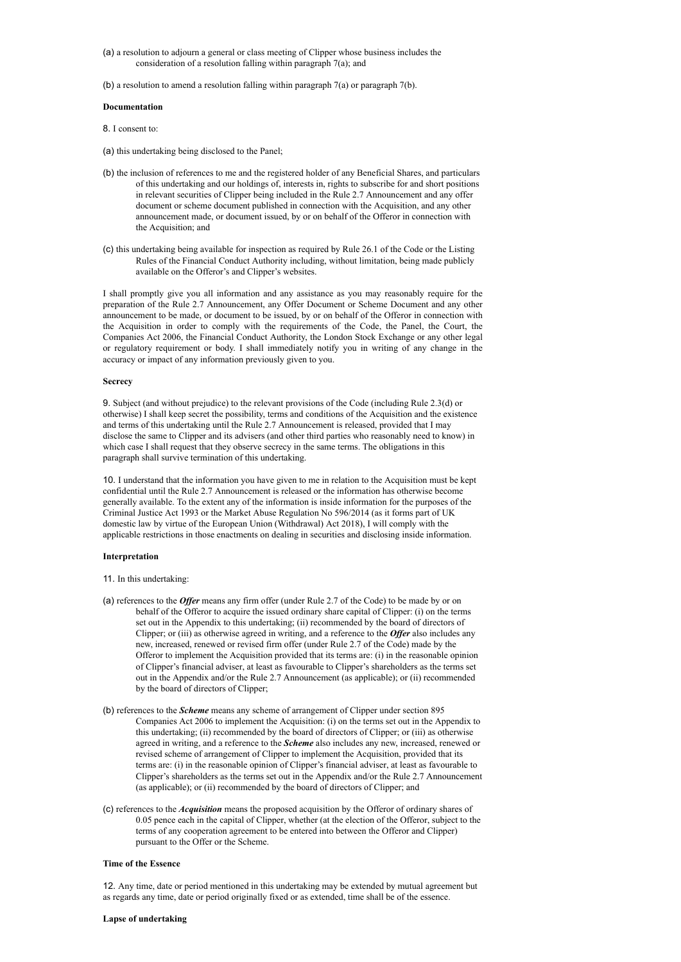- (a) a resolution to adjourn a general or class meeting of Clipper whose business includes the consideration of a resolution falling within paragraph 7(a); and
- (b) a resolution to amend a resolution falling within paragraph 7(a) or paragraph 7(b).

#### **Documentation**

- 8. I consent to:
- (a) this undertaking being disclosed to the Panel;
- (b) the inclusion of references to me and the registered holder of any Beneficial Shares, and particulars of this undertaking and our holdings of, interests in, rights to subscribe for and short positions in relevant securities of Clipper being included in the Rule 2.7 Announcement and any offer document or scheme document published in connection with the Acquisition, and any other announcement made, or document issued, by or on behalf of the Offeror in connection with the Acquisition; and
- (c) this undertaking being available for inspection as required by Rule 26.1 of the Code or the Listing Rules of the Financial Conduct Authority including, without limitation, being made publicly available on the Offeror's and Clipper's websites.

I shall promptly give you all information and any assistance as you may reasonably require for the preparation of the Rule 2.7 Announcement, any Offer Document or Scheme Document and any other announcement to be made, or document to be issued, by or on behalf of the Offeror in connection with the Acquisition in order to comply with the requirements of the Code, the Panel, the Court, the Companies Act 2006, the Financial Conduct Authority, the London Stock Exchange or any other legal or regulatory requirement or body. I shall immediately notify you in writing of any change in the accuracy or impact of any information previously given to you.

#### **Secrecy**

9. Subject (and without prejudice) to the relevant provisions of the Code (including Rule 2.3(d) or otherwise) I shall keep secret the possibility, terms and conditions of the Acquisition and the existence and terms of this undertaking until the Rule 2.7 Announcement is released, provided that I may disclose the same to Clipper and its advisers (and other third parties who reasonably need to know) in which case I shall request that they observe secrecy in the same terms. The obligations in this paragraph shall survive termination of this undertaking.

10. I understand that the information you have given to me in relation to the Acquisition must be kept confidential until the Rule 2.7 Announcement is released or the information has otherwise become generally available. To the extent any of the information is inside information for the purposes of the Criminal Justice Act 1993 or the Market Abuse Regulation No 596/2014 (as it forms part of UK domestic law by virtue of the European Union (Withdrawal) Act 2018), I will comply with the applicable restrictions in those enactments on dealing in securities and disclosing inside information.

#### **Interpretation**

- 11. In this undertaking:
- (a) references to the *Offer* means any firm offer (under Rule 2.7 of the Code) to be made by or on behalf of the Offeror to acquire the issued ordinary share capital of Clipper: (i) on the terms set out in the Appendix to this undertaking; (ii) recommended by the board of directors of Clipper; or (iii) as otherwise agreed in writing, and a reference to the *Offer* also includes any new, increased, renewed or revised firm offer (under Rule 2.7 of the Code) made by the Offeror to implement the Acquisition provided that its terms are: (i) in the reasonable opinion of Clipper's financial adviser, at least as favourable to Clipper's shareholders as the terms set out in the Appendix and/or the Rule 2.7 Announcement (as applicable); or (ii) recommended by the board of directors of Clipper;
- (b) references to the *Scheme* means any scheme of arrangement of Clipper under section 895 Companies Act 2006 to implement the Acquisition: (i) on the terms set out in the Appendix to this undertaking; (ii) recommended by the board of directors of Clipper; or (iii) as otherwise agreed in writing, and a reference to the *Scheme* also includes any new, increased, renewed or revised scheme of arrangement of Clipper to implement the Acquisition, provided that its terms are: (i) in the reasonable opinion of Clipper's financial adviser, at least as favourable to Clipper's shareholders as the terms set out in the Appendix and/or the Rule 2.7 Announcement (as applicable); or (ii) recommended by the board of directors of Clipper; and
- (c) references to the *Acquisition* means the proposed acquisition by the Offeror of ordinary shares of 0.05 pence each in the capital of Clipper, whether (at the election of the Offeror, subject to the terms of any cooperation agreement to be entered into between the Offeror and Clipper) pursuant to the Offer or the Scheme.

#### **Time of the Essence**

12. Any time, date or period mentioned in this undertaking may be extended by mutual agreement but as regards any time, date or period originally fixed or as extended, time shall be of the essence.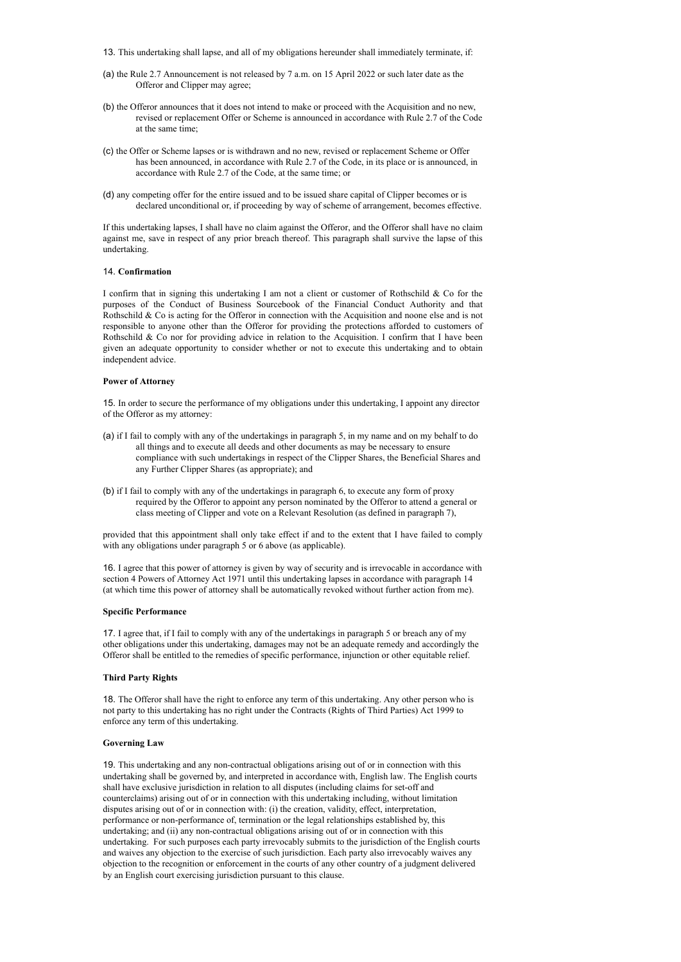- 13. This undertaking shall lapse, and all of my obligations hereunder shall immediately terminate, if:
- (a) the Rule 2.7 Announcement is not released by 7 a.m. on 15 April 2022 or such later date as the Offeror and Clipper may agree;
- (b) the Offeror announces that it does not intend to make or proceed with the Acquisition and no new, revised or replacement Offer or Scheme is announced in accordance with Rule 2.7 of the Code at the same time;
- (c) the Offer or Scheme lapses or is withdrawn and no new, revised or replacement Scheme or Offer has been announced, in accordance with Rule 2.7 of the Code, in its place or is announced, in accordance with Rule 2.7 of the Code, at the same time; or
- (d) any competing offer for the entire issued and to be issued share capital of Clipper becomes or is declared unconditional or, if proceeding by way of scheme of arrangement, becomes effective.

If this undertaking lapses, I shall have no claim against the Offeror, and the Offeror shall have no claim against me, save in respect of any prior breach thereof. This paragraph shall survive the lapse of this undertaking.

## 14. **Confirmation**

I confirm that in signing this undertaking I am not a client or customer of Rothschild & Co for the purposes of the Conduct of Business Sourcebook of the Financial Conduct Authority and that Rothschild & Co is acting for the Offeror in connection with the Acquisition and noone else and is not responsible to anyone other than the Offeror for providing the protections afforded to customers of Rothschild & Co nor for providing advice in relation to the Acquisition. I confirm that I have been given an adequate opportunity to consider whether or not to execute this undertaking and to obtain independent advice.

## **Power of Attorney**

15. In order to secure the performance of my obligations under this undertaking, I appoint any director of the Offeror as my attorney:

- (a) if I fail to comply with any of the undertakings in paragraph 5, in my name and on my behalf to do all things and to execute all deeds and other documents as may be necessary to ensure compliance with such undertakings in respect of the Clipper Shares, the Beneficial Shares and any Further Clipper Shares (as appropriate); and
- (b) if I fail to comply with any of the undertakings in paragraph 6, to execute any form of proxy required by the Offeror to appoint any person nominated by the Offeror to attend a general or class meeting of Clipper and vote on a Relevant Resolution (as defined in paragraph 7),

provided that this appointment shall only take effect if and to the extent that I have failed to comply with any obligations under paragraph 5 or 6 above (as applicable).

16. I agree that this power of attorney is given by way of security and is irrevocable in accordance with section 4 Powers of Attorney Act 1971 until this undertaking lapses in accordance with paragraph 14 (at which time this power of attorney shall be automatically revoked without further action from me).

#### **Specific Performance**

17. I agree that, if I fail to comply with any of the undertakings in paragraph 5 or breach any of my other obligations under this undertaking, damages may not be an adequate remedy and accordingly the Offeror shall be entitled to the remedies of specific performance, injunction or other equitable relief.

### **Third Party Rights**

18. The Offeror shall have the right to enforce any term of this undertaking. Any other person who is not party to this undertaking has no right under the Contracts (Rights of Third Parties) Act 1999 to enforce any term of this undertaking.

# **Governing Law**

19. This undertaking and any non-contractual obligations arising out of or in connection with this undertaking shall be governed by, and interpreted in accordance with, English law. The English courts shall have exclusive jurisdiction in relation to all disputes (including claims for set-off and counterclaims) arising out of or in connection with this undertaking including, without limitation disputes arising out of or in connection with: (i) the creation, validity, effect, interpretation, performance or non-performance of, termination or the legal relationships established by, this undertaking; and (ii) any non-contractual obligations arising out of or in connection with this undertaking. For such purposes each party irrevocably submits to the jurisdiction of the English courts and waives any objection to the exercise of such jurisdiction. Each party also irrevocably waives any objection to the recognition or enforcement in the courts of any other country of a judgment delivered by an English court exercising jurisdiction pursuant to this clause.